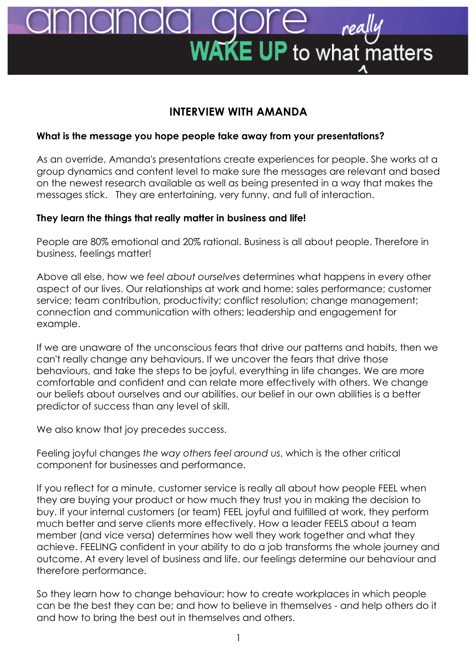# **AKE UP** to what matters

# **INTERVIEW WITH AMANDA**

# **What is the message you hope people take away from your presentations?**

As an override, Amanda's presentations create experiences for people. She works at a group dynamics and content level to make sure the messages are relevant and based on the newest research available as well as being presented in a way that makes the messages stick. They are entertaining, very funny, and full of interaction.

# **They learn the things that really matter in business and life!**

People are 80% emotional and 20% rational. Business is all about people. Therefore in business, feelings matter!

Above all else, how we *feel about ourselves* determines what happens in every other aspect of our lives. Our relationships at work and home; sales performance; customer service; team contribution, productivity; conflict resolution; change management; connection and communication with others; leadership and engagement for example.

If we are unaware of the unconscious fears that drive our patterns and habits, then we can't really change any behaviours. If we uncover the fears that drive those behaviours, and take the steps to be joyful, everything in life changes. We are more comfortable and confident and can relate more effectively with others. We change our beliefs about ourselves and our abilities. our belief in our own abilities is a better predictor of success than any level of skill.

We also know that joy precedes success.

Feeling joyful changes *the way others feel around us*, which is the other critical component for businesses and performance.

If you reflect for a minute, customer service is really all about how people FEEL when they are buying your product or how much they trust you in making the decision to buy. If your internal customers (or team) FEEL joyful and fulfilled at work, they perform much better and serve clients more effectively. How a leader FEELS about a team member (and vice versa) determines how well they work together and what they achieve. FEELING confident in your ability to do a job transforms the whole journey and outcome. At every level of business and life, our feelings determine our behaviour and therefore performance.

So they learn how to change behaviour; how to create workplaces in which people can be the best they can be; and how to believe in themselves - and help others do it and how to bring the best out in themselves and others.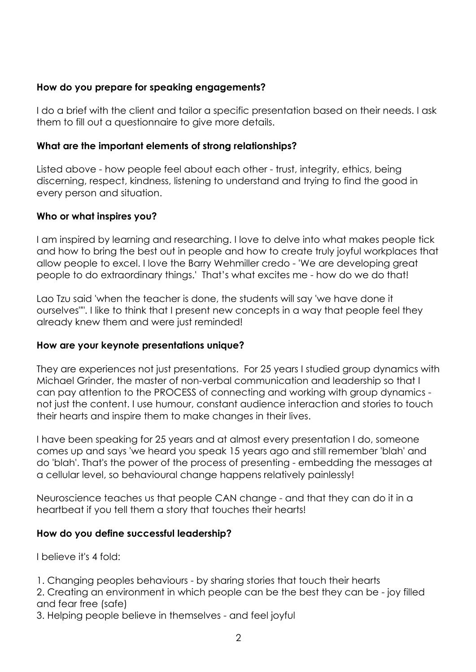## **How do you prepare for speaking engagements?**

I do a brief with the client and tailor a specific presentation based on their needs. I ask them to fill out a questionnaire to give more details.

#### **What are the important elements of strong relationships?**

Listed above - how people feel about each other - trust, integrity, ethics, being discerning, respect, kindness, listening to understand and trying to find the good in every person and situation.

#### **Who or what inspires you?**

I am inspired by learning and researching. I love to delve into what makes people tick and how to bring the best out in people and how to create truly joyful workplaces that allow people to excel. I love the Barry Wehmiller credo - 'We are developing great people to do extraordinary things.' That's what excites me - how do we do that!

Lao Tzu said 'when the teacher is done, the students will say 'we have done it ourselves"". I like to think that I present new concepts in a way that people feel they already knew them and were just reminded!

#### **How are your keynote presentations unique?**

They are experiences not just presentations. For 25 years I studied group dynamics with Michael Grinder, the master of non-verbal communication and leadership so that I can pay attention to the PROCESS of connecting and working with group dynamics not just the content. I use humour, constant audience interaction and stories to touch their hearts and inspire them to make changes in their lives.

I have been speaking for 25 years and at almost every presentation I do, someone comes up and says 'we heard you speak 15 years ago and still remember 'blah' and do 'blah'. That's the power of the process of presenting - embedding the messages at a cellular level, so behavioural change happens relatively painlessly!

Neuroscience teaches us that people CAN change - and that they can do it in a heartbeat if you tell them a story that touches their hearts!

## **How do you define successful leadership?**

I believe it's 4 fold:

1. Changing peoples behaviours - by sharing stories that touch their hearts

2. Creating an environment in which people can be the best they can be - joy filled and fear free (safe)

3. Helping people believe in themselves - and feel joyful